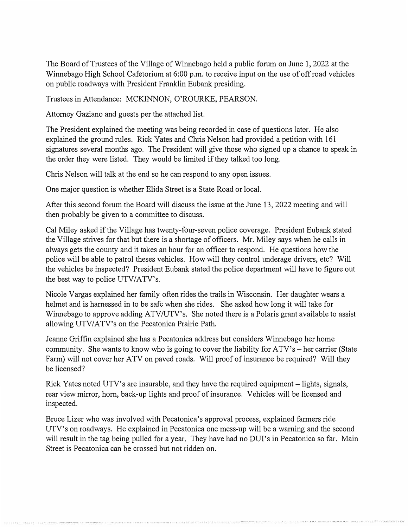The Board of Trustees of the Village of Winnebago held a public forum on June 1, 2022 at the Winnebago High School Cafetorium at 6:00 p.m. to receive input on the use of off road vehicles on public roadways with President Franklin Eubank presiding.

Trustees in Attendance: MCKINNON, O'ROURKE, PEARSON.

Attorney Gaziano and guests per the attached list.

The President explained the meeting was being recorded in case of questions later. He also explained the ground rules. Rick Yates and Chris Nelson had provided a petition with 161 signatures several months ago. The President will give those who signed up a chance to speak in the order they were listed. They would be limited if they talked too long.

Chris Nelson will talk at the end so he can respond to any open issues.

One major question is whether Elida Street is a State Road or local.

After this second forum the Board will discuss the issue at the June 13, 2022 meeting and will then probably be given to a committee to discuss.

Cal Miley asked if the Village has twenty-four-seven police coverage. President Eubank stated the Village strives for that but there is a shortage of officers. Mr. Miley says when he calls in always gets the county and it takes an hour for an officer to respond. He questions how the police will be able to patrol theses vehicles. How will they control underage drivers, etc? Will the vehicles be inspected? President Eubank stated the police department will have to figure out the best way to police UTV/ATV's.

Nicole Vargas explained her family often rides the trails in Wisconsin. Her daughter wears a helmet and is harnessed in to be safe when she rides. She asked how long it will take for Winnebago to approve adding ATV/UTV's. She noted there is a Polaris grant available to assist allowing UTV/ATV's on the Pecatonica Prairie Path.

Jeanne Griffin explained she has a Pecatonica address but considers Winnebago her home community. She wants to know who is going to cover the liability for  $ATV$ 's  $-$  her carrier (State Farm) will not cover her ATV on paved roads. Will proof of insurance be required? Will they be licensed?

Rick Yates noted UTV's are insurable, and they have the required equipment – lights, signals, rear view mirror, horn, back-up lights and proof of insurance. Vehicles will be licensed and inspected.

Bruce Lizer who was involved with Pecatonica's approval process, explained farmers ride UTV's on roadways. He explained in Pecatonica one mess-up will be a warning and the second will result in the tag being pulled for a year. They have had no DUI's in Pecatonica so far. Main Street is Pecatonica can be crossed but not ridden on.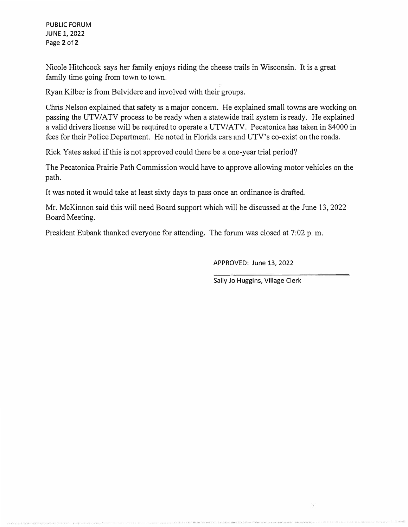PUBLIC FORUM JUNE 1, 2022 Page 2 of 2

Nicole Hitchcock says her family enjoys riding the cheese trails in Wisconsin. It is a great family time going from town to town.

Ryan Kilber is from Belvidere and involved with their groups.

Chris Nelson explained that safety is a major concern. He explained small towns are working on passing the UTV/ATV process to be ready when a statewide trail system is ready. He explained a valid drivers license will be required to operate a UTV/ATV. Pecatonica has taken in \$4000 in fees for their Police Department. He noted in Florida cars and UTV's co-exist on the roads.

Rick Yates asked if this is not approved could there be a one-year trial period?

The Pecatonica Prairie Path Commission would have to approve allowing motor vehicles on the path.

It was noted it would take at least sixty days to pass once an ordinance is drafted.

Mr. McKinnon said this will need Board support which will be discussed at the June 13, 2022 Board Meeting.

President Eubank thanked everyone for attending. The forum was closed at 7:02 p. m.

APPROVED: June 13, 2022

Sally Jo Huggins, Village Clerk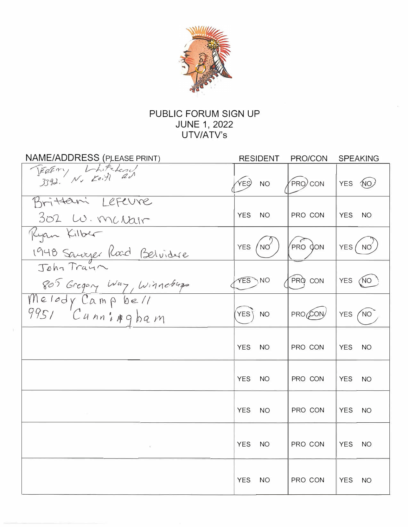

## PUBLIC FORUM SIGN UP JUNE 1, 2022<br>UTV/ATV's

| NAME/ADDRESS (PLEASE PRINT)             | RESIDENT                      | PRO/CON | <b>SPEAKING</b>               |
|-----------------------------------------|-------------------------------|---------|-------------------------------|
| FERENY LAFELON                          | YES)<br><b>NO</b>             | PRO CON | YES (NO)                      |
| Brittani Lefeure<br>302 W. Mc Nair      | <b>YES</b><br><b>NO</b>       | PRO CON | <b>YES</b><br><b>NO</b>       |
| Ryan Kilber<br>1948 Saure Road Belvidue | <b>YES</b><br>$N\circ$        | PRO JON | YES NO                        |
| 805 Gregory Way, Winneburgs             | <b>YES</b> NO                 | PRO CON | <b>YES</b><br>(NO             |
| Melody Campbell<br>9951 Cunningham      | YES <sup>1</sup><br><b>NO</b> | PRO CON | NO <sup>-</sup><br><b>YES</b> |
|                                         | <b>YES</b><br>NO.             | PRO CON | <b>YES</b><br>NO.             |
|                                         | <b>YES</b><br><b>NO</b>       | PRO CON | <b>YES</b><br><b>NO</b>       |
|                                         | <b>YES</b><br><b>NO</b>       | PRO CON | <b>YES</b><br><b>NO</b>       |
| $\sim$                                  | <b>YES</b><br>NO.             | PRO CON | <b>YES</b><br><b>NO</b>       |
|                                         | <b>YES</b><br><b>NO</b>       | PRO CON | <b>YES</b><br>NO              |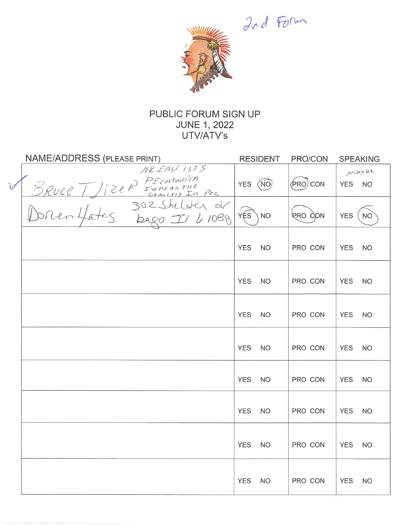Ind Form



### PUBLIC FORUM SIGN UP **JUNE 1, 2022** UTV/ATV's

| <b>NAME/ADDRESS (PLEASE PRINT)</b>                        | <b>RESIDENT</b>             | PRO/CON   | <b>SPEAKING</b>             |
|-----------------------------------------------------------|-----------------------------|-----------|-----------------------------|
| 108 EAST 1575                                             | YES (NO)                    | (PRO) CON | ALAYDE<br>YES NO            |
| BRUCE / JIZER FECATOMICA<br>DORUCE / JIZER FUASSONTHE PEC | $\widehat{YES}$<br>\NO      | RRO CON   | <b>YES</b><br><b>NO</b>     |
|                                                           | <b>YES</b><br><b>NO</b>     | PRO CON   | <b>YES</b><br><sub>NO</sub> |
|                                                           | <b>YES</b><br><b>NO</b>     | PRO CON   | <b>YES</b><br><b>NO</b>     |
|                                                           | <b>YES</b><br>NO            | PRO CON   | <b>YES</b><br><b>NO</b>     |
|                                                           | <b>YES</b><br><sub>NO</sub> | PRO CON   | <b>YES</b><br><b>NO</b>     |
|                                                           | <b>YES</b><br><b>NO</b>     | PRO CON   | <b>YES</b><br><b>NO</b>     |
|                                                           | <b>YES</b><br><b>NO</b>     | PRO CON   | <b>YES</b><br><b>NO</b>     |
|                                                           | <b>YES</b><br><b>NO</b>     | PRO CON   | <b>YES</b><br><b>NO</b>     |
|                                                           | <b>YES</b><br><b>NO</b>     | PRO CON   | <b>YES</b><br><b>NO</b>     |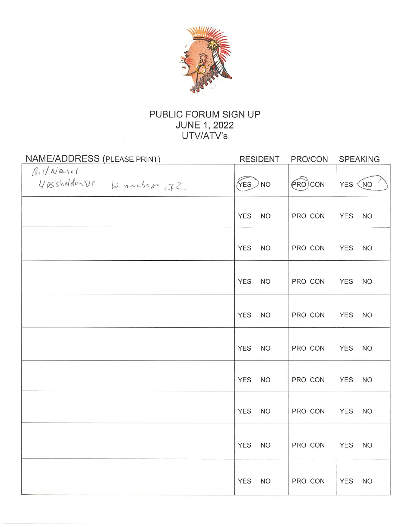

### PUBLIC FORUM SIGN UP **JUNE 1, 2022** UTV/ATV's

| NAME/ADDRESS (PLEASE PRINT)            | <b>RESIDENT</b>         | PRO/CON               | <b>SPEAKING</b>         |
|----------------------------------------|-------------------------|-----------------------|-------------------------|
| B.I/NAL1<br>405shelderDr W. nacsed, IZ | $\sqrt{res}$ NO         | $(\widehat{PRO})$ CON | YES (NO                 |
|                                        | <b>YES</b><br><b>NO</b> | PRO CON               | <b>YES</b><br><b>NO</b> |
|                                        | <b>YES</b><br><b>NO</b> | PRO CON               | <b>YES</b><br><b>NO</b> |
|                                        | <b>YES</b><br><b>NO</b> | PRO CON               | <b>YES</b><br><b>NO</b> |
|                                        | <b>YES</b><br><b>NO</b> | PRO CON               | <b>YES</b><br><b>NO</b> |
|                                        | <b>YES</b><br><b>NO</b> | PRO CON               | <b>YES</b><br><b>NO</b> |
|                                        | <b>YES</b><br><b>NO</b> | PRO CON               | <b>YES</b><br><b>NO</b> |
|                                        | <b>YES</b><br><b>NO</b> | PRO CON               | <b>YES</b><br><b>NO</b> |
|                                        | <b>YES</b><br><b>NO</b> | PRO CON               | <b>YES</b><br><b>NO</b> |
|                                        | <b>YES</b><br><b>NO</b> | PRO CON               | <b>YES</b><br><b>NO</b> |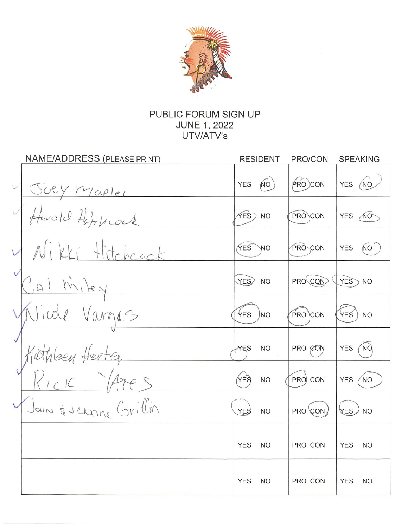

### PUBLIC FORUM SIGN UP **JUNE 1, 2022** UTV/ATV's

| <b>NAME/ADDRESS (PLEASE PRINT)</b> | <b>RESIDENT</b>         | PRO/CON        | <b>SPEAKING</b>               |
|------------------------------------|-------------------------|----------------|-------------------------------|
|                                    | <b>NO</b><br><b>YES</b> | $P(RO)$ CON    | YES (NO                       |
| Juey Maples                        | $XES$ NO                | PRO CON        | YES NO                        |
| Lki Hitchcock                      | YES<br><b>NO</b>        | <b>PRO CON</b> | <b>YES</b><br>NO <sup>1</sup> |
| Al Miley                           | YES <sub>2</sub> NO     | PRO CON        | YES<br>$>$ NO                 |
| e Vargas                           | <b>YES</b><br><b>NO</b> | PRO CON        | YES<br><b>NO</b>              |
|                                    | ¥ES<br><b>NO</b>        | PRO CON        | <b>NO</b><br><b>YES</b>       |
|                                    | YES<br><b>NO</b>        | PRO CON        | NO<br><b>YES</b>              |
| John & Jernne Grittin              | <b>YES</b><br><b>NO</b> | PRO CON        | YES<br><b>NO</b>              |
|                                    | <b>YES</b><br><b>NO</b> | PRO CON        | <b>YES</b><br><b>NO</b>       |
|                                    | <b>YES</b><br><b>NO</b> | PRO CON        | <b>YES</b><br><b>NO</b>       |